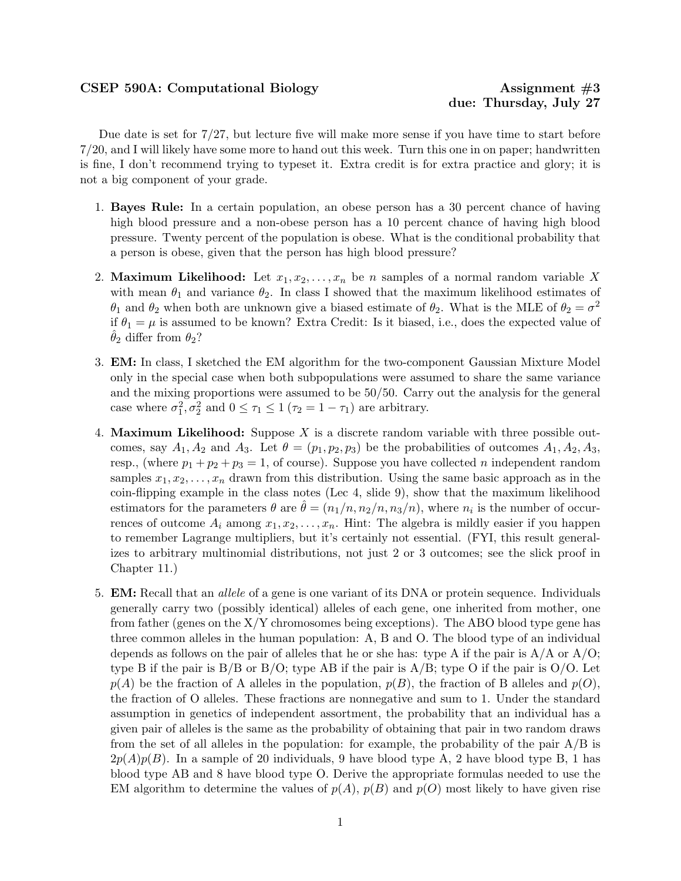## CSEP 590A: Computational Biology Assignment #3

Due date is set for 7/27, but lecture five will make more sense if you have time to start before 7/20, and I will likely have some more to hand out this week. Turn this one in on paper; handwritten is fine, I don't recommend trying to typeset it. Extra credit is for extra practice and glory; it is not a big component of your grade.

- 1. Bayes Rule: In a certain population, an obese person has a 30 percent chance of having high blood pressure and a non-obese person has a 10 percent chance of having high blood pressure. Twenty percent of the population is obese. What is the conditional probability that a person is obese, given that the person has high blood pressure?
- 2. Maximum Likelihood: Let  $x_1, x_2, \ldots, x_n$  be n samples of a normal random variable X with mean  $\theta_1$  and variance  $\theta_2$ . In class I showed that the maximum likelihood estimates of  $\theta_1$  and  $\theta_2$  when both are unknown give a biased estimate of  $\theta_2$ . What is the MLE of  $\theta_2 = \sigma^2$ if  $\theta_1 = \mu$  is assumed to be known? Extra Credit: Is it biased, i.e., does the expected value of  $\theta_2$  differ from  $\theta_2$ ?
- 3. EM: In class, I sketched the EM algorithm for the two-component Gaussian Mixture Model only in the special case when both subpopulations were assumed to share the same variance and the mixing proportions were assumed to be 50/50. Carry out the analysis for the general case where  $\sigma_1^2, \sigma_2^2$  and  $0 \le \tau_1 \le 1$  ( $\tau_2 = 1 - \tau_1$ ) are arbitrary.
- 4. **Maximum Likelihood:** Suppose X is a discrete random variable with three possible outcomes, say  $A_1, A_2$  and  $A_3$ . Let  $\theta = (p_1, p_2, p_3)$  be the probabilities of outcomes  $A_1, A_2, A_3$ , resp., (where  $p_1 + p_2 + p_3 = 1$ , of course). Suppose you have collected *n* independent random samples  $x_1, x_2, \ldots, x_n$  drawn from this distribution. Using the same basic approach as in the coin-flipping example in the class notes (Lec 4, slide 9), show that the maximum likelihood estimators for the parameters  $\theta$  are  $\hat{\theta} = (n_1/n, n_2/n, n_3/n)$ , where  $n_i$  is the number of occurrences of outcome  $A_i$  among  $x_1, x_2, \ldots, x_n$ . Hint: The algebra is mildly easier if you happen to remember Lagrange multipliers, but it's certainly not essential. (FYI, this result generalizes to arbitrary multinomial distributions, not just 2 or 3 outcomes; see the slick proof in Chapter 11.)
- 5. **EM:** Recall that an *allele* of a gene is one variant of its DNA or protein sequence. Individuals generally carry two (possibly identical) alleles of each gene, one inherited from mother, one from father (genes on the  $X/Y$  chromosomes being exceptions). The ABO blood type gene has three common alleles in the human population: A, B and O. The blood type of an individual depends as follows on the pair of alleles that he or she has: type A if the pair is  $A/A$  or  $A/O$ ; type B if the pair is  $B/B$  or  $B/O$ ; type AB if the pair is  $A/B$ ; type O if the pair is  $O/O$ . Let  $p(A)$  be the fraction of A alleles in the population,  $p(B)$ , the fraction of B alleles and  $p(O)$ , the fraction of O alleles. These fractions are nonnegative and sum to 1. Under the standard assumption in genetics of independent assortment, the probability that an individual has a given pair of alleles is the same as the probability of obtaining that pair in two random draws from the set of all alleles in the population: for example, the probability of the pair  $A/B$  is  $2p(A)p(B)$ . In a sample of 20 individuals, 9 have blood type A, 2 have blood type B, 1 has blood type AB and 8 have blood type O. Derive the appropriate formulas needed to use the EM algorithm to determine the values of  $p(A)$ ,  $p(B)$  and  $p(O)$  most likely to have given rise